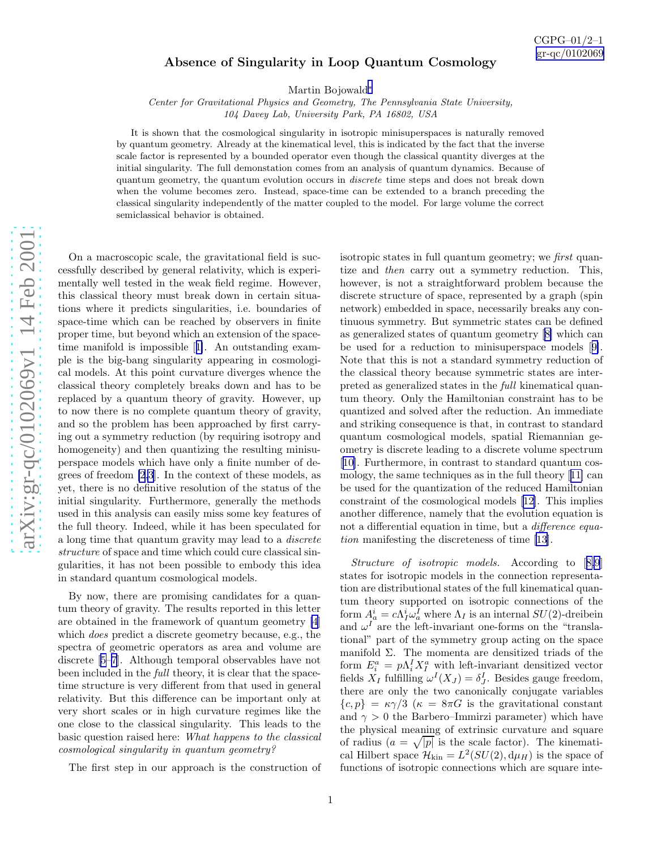## Absence of Singularity in Loop Quantum Cosmology

Martin Bojowald<sup>\*</sup>

Center for Gravitational Physics and Geometry, The Pennsylvania State University, 104 Davey Lab, University Park, PA 16802, USA

It is shown that the cosmological singularity in isotropic minisuperspaces is naturally removed by quantum geometry. Already at the kinematical level, this is indicated by the fact that the inverse scale factor is represented by a bounded operator even though the classical quantity diverges at the initial singularity. The full demonstation comes from an analysis of quantum dynamics. Because of quantum geometry, the quantum evolution occurs in discrete time steps and does not break down when the volume becomes zero. Instead, space-time can be extended to a branch preceding the classical singularity independently of the matter coupled to the model. For large volume the correct semiclassical behavior is obtained.

On a macroscopic scale, the gravitational field is successfully described by general relativity, which is experimentally well tested in the weak field regime. However, this classical theory must break down in certain situations where it predicts singularities, i.e. boundaries of space-time which can be reached by observers in finite proper time, but beyond which an extension of the spacetime manifold is impossible[[1\]](#page-3-0). An outstanding example is the big-bang singularity appearing in cosmological models. At this point curvature diverges whence the classical theory completely breaks down and has to be replaced by a quantum theory of gravity. However, up to now there is no complete quantum theory of gravity, and so the problem has been approached by first carrying out a symmetry reduction (by requiring isotropy and homogeneity) and then quantizing the resulting minisuperspace models which have only a finite number of degrees of freedom [\[2,3](#page-3-0)]. In the context of these models, as yet, there is no definitive resolution of the status of the initial singularity. Furthermore, generally the methods used in this analysis can easily miss some key features of the full theory. Indeed, while it has been speculated for a long time that quantum gravity may lead to a discrete structure of space and time which could cure classical singularities, it has not been possible to embody this idea in standard quantum cosmological models.

By now, there are promising candidates for a quantum theory of gravity. The results reported in this letter are obtained in the framework of quantum geometry [\[4](#page-3-0)] which does predict a discrete geometry because, e.g., the spectra of geometric operators as area and volume are discrete[[5–7\]](#page-3-0). Although temporal observables have not been included in the *full* theory, it is clear that the spacetime structure is very different from that used in general relativity. But this difference can be important only at very short scales or in high curvature regimes like the one close to the classical singularity. This leads to the basic question raised here: What happens to the classical cosmological singularity in quantum geometry?

The first step in our approach is the construction of

isotropic states in full quantum geometry; we first quantize and then carry out a symmetry reduction. This, however, is not a straightforward problem because the discrete structure of space, represented by a graph (spin network) embedded in space, necessarily breaks any continuous symmetry. But symmetric states can be defined as generalized states of quantum geometry[[8\]](#page-3-0) which can be used for a reduction to minisuperspace models[[9\]](#page-3-0). Note that this is not a standard symmetry reduction of the classical theory because symmetric states are interpreted as generalized states in the full kinematical quantum theory. Only the Hamiltonian constraint has to be quantized and solved after the reduction. An immediate and striking consequence is that, in contrast to standard quantum cosmological models, spatial Riemannian geometry is discrete leading to a discrete volume spectrum [[10\]](#page-3-0). Furthermore, in contrast to standard quantum cosmology, the same techniques as in the full theory[[11\]](#page-3-0) can be used for the quantization of the reduced Hamiltonian constraint of the cosmological models[[12\]](#page-3-0). This implies another difference, namely that the evolution equation is not a differential equation in time, but a difference equation manifesting the discreteness of time [\[13](#page-3-0)].

Structure of isotropic models. According to[[8,9](#page-3-0)] states for isotropic models in the connection representation are distributional states of the full kinematical quantum theory supported on isotropic connections of the form  $A_a^i = c \Lambda_I^i \omega_a^I$  where  $\Lambda_I$  is an internal  $SU(2)$ -dreibein and  $\omega^I$  are the left-invariant one-forms on the "translational" part of the symmetry group acting on the space manifold  $\Sigma$ . The momenta are densitized triads of the form  $E_i^a = p\Lambda_i^I X_I^a$  with left-invariant densitized vector fields  $X_I$  fulfilling  $\omega^I(X_J) = \delta^I_J$ . Besides gauge freedom, there are only the two canonically conjugate variables  ${c, p} = \kappa \gamma/3$  ( $\kappa = 8\pi G$  is the gravitational constant and  $\gamma > 0$  the Barbero–Immirzi parameter) which have the physical meaning of extrinsic curvature and square of radius  $(a = \sqrt{|p|})$  is the scale factor). The kinematical Hilbert space  $\mathcal{H}_{kin} = L^2(SU(2), d\mu_H)$  is the space of functions of isotropic connections which are square inte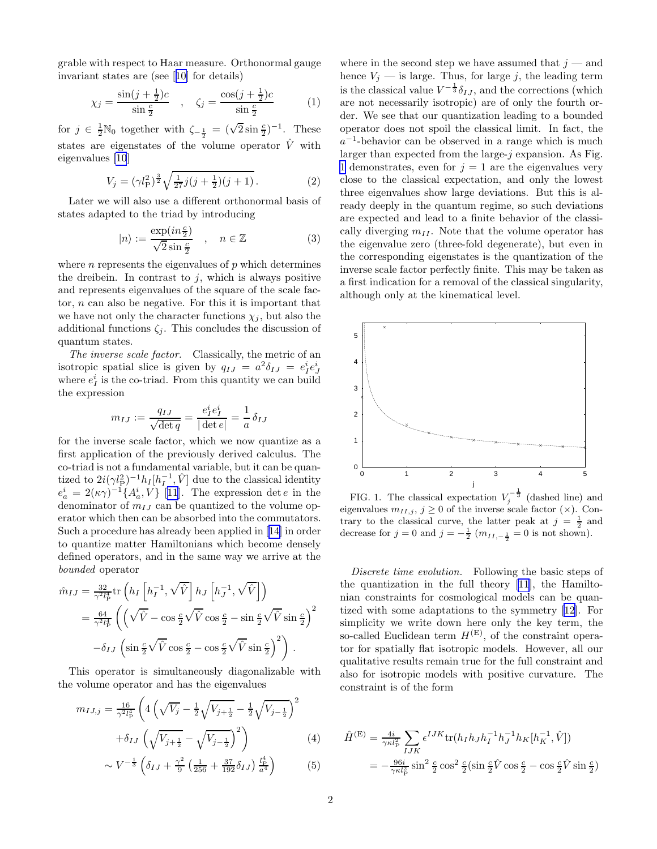<span id="page-1-0"></span>grable with respect to Haar measure. Orthonormal gauge invariant states are (see[[10\]](#page-3-0) for details)

$$
\chi_j = \frac{\sin(j + \frac{1}{2})c}{\sin \frac{c}{2}} , \quad \zeta_j = \frac{\cos(j + \frac{1}{2})c}{\sin \frac{c}{2}} \tag{1}
$$

for  $j \in \frac{1}{2} \mathbb{N}_0$  together with  $\zeta_{-\frac{1}{2}} = (\sqrt{2} \sin \frac{c}{2})^{-1}$ . These states are eigenstates of the volume operator  $\hat{V}$  with eigenvalues [\[10](#page-3-0)]

$$
V_j = (\gamma l_{\rm P}^2)^{\frac{3}{2}} \sqrt{\frac{1}{27}j(j+\frac{1}{2})(j+1)}.
$$
 (2)

Later we will also use a different orthonormal basis of states adapted to the triad by introducing

$$
|n\rangle := \frac{\exp(in\frac{c}{2})}{\sqrt{2}\sin\frac{c}{2}} \quad , \quad n \in \mathbb{Z}
$$
 (3)

where  $n$  represents the eigenvalues of  $p$  which determines the dreibein. In contrast to  $j$ , which is always positive and represents eigenvalues of the square of the scale factor,  $n$  can also be negative. For this it is important that we have not only the character functions  $\chi_j$ , but also the additional functions  $\zeta_i$ . This concludes the discussion of quantum states.

The inverse scale factor. Classically, the metric of an isotropic spatial slice is given by  $q_{IJ} = a^2 \delta_{IJ} = e^i_I e^i_J$ where  $e_I^i$  is the co-triad. From this quantity we can build the expression

$$
m_{IJ} := \frac{q_{IJ}}{\sqrt{\det q}} = \frac{e^i_I e^i_I}{|\det e|} = \frac{1}{a} \delta_{IJ}
$$

for the inverse scale factor, which we now quantize as a first application of the previously derived calculus. The co-triad is not a fundamental variable, but it can be quantized to  $2i(\gamma l_P^2)^{-1}h_I[h_I^{-1}, \hat{V}]$  due to the classical identity  $e_a^i = 2(\kappa \gamma)^{-1} \{A_a^i, V\}$  [[11](#page-3-0)]. The expression det *e* in the denominator of  $m_{IJ}$  can be quantized to the volume operator which then can be absorbed into the commutators. Such a procedure has already been applied in[[14\]](#page-3-0) in order to quantize matter Hamiltonians which become densely defined operators, and in the same way we arrive at the bounded operator

$$
\hat{m}_{IJ} = \frac{32}{\gamma^2 l_{\rm P}^4} {\rm tr} \left( h_I \left[ h_I^{-1}, \sqrt{\hat{V}} \right] h_J \left[ h_J^{-1}, \sqrt{\hat{V}} \right] \right)
$$
  
\n
$$
= \frac{64}{\gamma^2 l_{\rm P}^4} \left( \left( \sqrt{\hat{V}} - \cos \frac{c}{2} \sqrt{\hat{V}} \cos \frac{c}{2} - \sin \frac{c}{2} \sqrt{\hat{V}} \sin \frac{c}{2} \right)^2 -\delta_{IJ} \left( \sin \frac{c}{2} \sqrt{\hat{V}} \cos \frac{c}{2} - \cos \frac{c}{2} \sqrt{\hat{V}} \sin \frac{c}{2} \right)^2 \right).
$$

This operator is simultaneously diagonalizable with the volume operator and has the eigenvalues

$$
m_{IJ,j} = \frac{16}{\gamma^2 l_{\rm p}^4} \left( 4 \left( \sqrt{V_j} - \frac{1}{2} \sqrt{V_{j+\frac{1}{2}}} - \frac{1}{2} \sqrt{V_{j-\frac{1}{2}}} \right)^2 + \delta_{IJ} \left( \sqrt{V_{j+\frac{1}{2}}} - \sqrt{V_{j-\frac{1}{2}}} \right)^2 \right)
$$
(4)

$$
\sim V^{-\frac{1}{3}} \left( \delta_{IJ} + \frac{\gamma^2}{9} \left( \frac{1}{256} + \frac{37}{192} \delta_{IJ} \right) \frac{l_{\rm P}^4}{a^4} \right) \tag{5}
$$

where in the second step we have assumed that  $j$  — and hence  $V_j$  — is large. Thus, for large j, the leading term is the classical value  $V^{-\frac{1}{3}}\delta_{IJ}$ , and the corrections (which are not necessarily isotropic) are of only the fourth order. We see that our quantization leading to a bounded operator does not spoil the classical limit. In fact, the  $a^{-1}$ -behavior can be observed in a range which is much larger than expected from the large- $j$  expansion. As Fig. 1 demonstrates, even for  $j = 1$  are the eigenvalues very close to the classical expectation, and only the lowest three eigenvalues show large deviations. But this is already deeply in the quantum regime, so such deviations are expected and lead to a finite behavior of the classically diverging  $m_{II}$ . Note that the volume operator has the eigenvalue zero (three-fold degenerate), but even in the corresponding eigenstates is the quantization of the inverse scale factor perfectly finite. This may be taken as a first indication for a removal of the classical singularity, although only at the kinematical level.



FIG. 1. The classical expectation  $V_j^{-\frac{1}{3}}$  (dashed line) and eigenvalues  $m_{II,j}$ ,  $j \geq 0$  of the inverse scale factor ( $\times$ ). Contrary to the classical curve, the latter peak at  $j = \frac{1}{2}$  and decrease for  $j = 0$  and  $j = -\frac{1}{2}$   $(m_{II, -\frac{1}{2}} = 0$  is not shown).

Discrete time evolution. Following the basic steps of the quantization in the full theory [\[11](#page-3-0)], the Hamiltonian constraints for cosmological models can be quantized with some adaptations to the symmetry[[12](#page-3-0)]. For simplicity we write down here only the key term, the so-called Euclidean term  $H^{(E)}$ , of the constraint operator for spatially flat isotropic models. However, all our qualitative results remain true for the full constraint and also for isotropic models with positive curvature. The constraint is of the form

$$
\hat{H}^{(\mathrm{E})} = \frac{4i}{\gamma \kappa l_{\mathrm{P}}^2} \sum_{IJK} \epsilon^{IJK} \text{tr}(h_I h_J h_I^{-1} h_J^{-1} h_K [h_K^{-1}, \hat{V}])
$$

$$
= -\frac{96i}{\gamma \kappa l_{\mathrm{P}}^2} \sin^2 \frac{c}{2} \cos^2 \frac{c}{2} (\sin \frac{c}{2} \hat{V} \cos \frac{c}{2} - \cos \frac{c}{2} \hat{V} \sin \frac{c}{2})
$$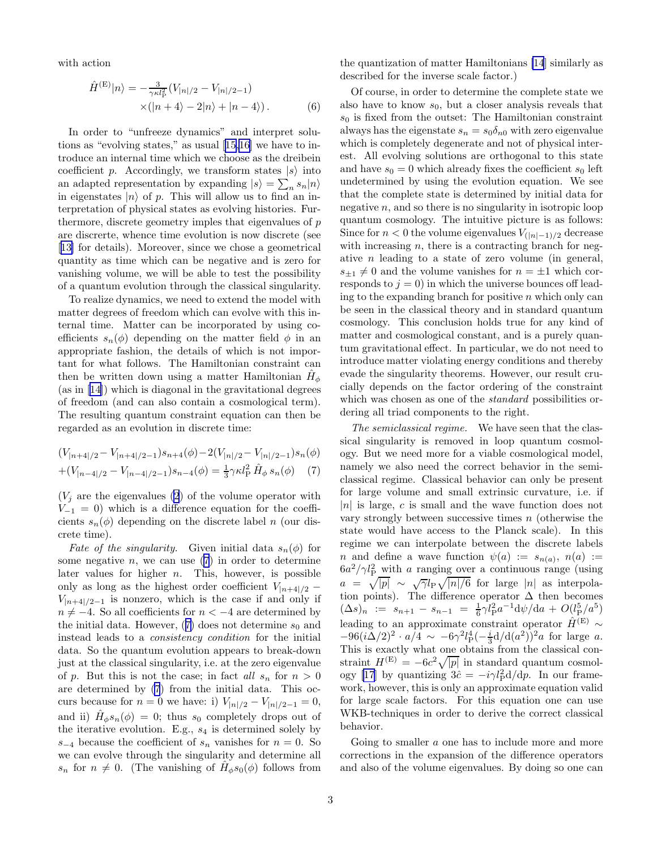with action

$$
\hat{H}^{(\mathrm{E})}|n\rangle = -\frac{3}{\gamma\kappa l_{\mathrm{P}}^2} (V_{|n|/2} - V_{|n|/2-1})
$$
  
 
$$
\times (|n+4\rangle - 2|n\rangle + |n-4\rangle). \tag{6}
$$

In order to "unfreeze dynamics" and interpret solutions as "evolving states," as usual[[15](#page-3-0),[16\]](#page-3-0) we have to introduce an internal time which we choose as the dreibein coefficient p. Accordingly, we transform states  $|s\rangle$  into an adapted representation by expanding  $|s\rangle = \sum_n s_n |n\rangle$ in eigenstates  $|n\rangle$  of p. This will allow us to find an interpretation of physical states as evolving histories. Furthermore, discrete geometry imples that eigenvalues of p are discrerte, whence time evolution is now discrete (see [[13\]](#page-3-0) for details). Moreover, since we chose a geometrical quantity as time which can be negative and is zero for vanishing volume, we will be able to test the possibility of a quantum evolution through the classical singularity.

To realize dynamics, we need to extend the model with matter degrees of freedom which can evolve with this internal time. Matter can be incorporated by using coefficients  $s_n(\phi)$  depending on the matter field  $\phi$  in an appropriate fashion, the details of which is not important for what follows. The Hamiltonian constraint can then be written down using a matter Hamiltonian  $\hat{H}_{\phi}$ (as in[[14\]](#page-3-0)) which is diagonal in the gravitational degrees of freedom (and can also contain a cosmological term). The resulting quantum constraint equation can then be regarded as an evolution in discrete time:

$$
(V_{|n+4|/2} - V_{|n+4|/2-1})s_{n+4}(\phi) - 2(V_{|n|/2} - V_{|n|/2-1})s_n(\phi)
$$
  
+ 
$$
(V_{|n-4|/2} - V_{|n-4|/2-1})s_{n-4}(\phi) = \frac{1}{3}\gamma\kappa l_P^2 \hat{H}_{\phi} s_n(\phi)
$$
 (7)

 $(V<sub>j</sub>$  are the eigenvalues [\(2](#page-1-0)) of the volume operator with  $V_{-1} = 0$ ) which is a difference equation for the coefficients  $s_n(\phi)$  depending on the discrete label n (our discrete time).

*Fate of the singularity.* Given initial data  $s_n(\phi)$  for some negative  $n$ , we can use  $(7)$  in order to determine later values for higher  $n$ . This, however, is possible only as long as the highest order coefficient  $V_{|n+4|/2}$  –  $V_{|n+4|/2-1}$  is nonzero, which is the case if and only if  $n \neq -4$ . So all coefficients for  $n < -4$  are determined by the initial data. However, (7) does not determine  $s_0$  and instead leads to a consistency condition for the initial data. So the quantum evolution appears to break-down just at the classical singularity, i.e. at the zero eigenvalue of p. But this is not the case; in fact all  $s_n$  for  $n > 0$ are determined by (7) from the initial data. This occurs because for  $n = 0$  we have: i)  $V_{|n|/2} - V_{|n|/2-1} = 0$ , and ii)  $\hat{H}_{\phi} s_n(\phi) = 0$ ; thus  $s_0$  completely drops out of the iterative evolution. E.g.,  $s_4$  is determined solely by  $s_{-4}$  because the coefficient of  $s_n$  vanishes for  $n = 0$ . So we can evolve through the singularity and determine all  $s_n$  for  $n \neq 0$ . (The vanishing of  $\hat{H}_{\phi} s_0(\phi)$  follows from

the quantization of matter Hamiltonians [\[14](#page-3-0)] similarly as described for the inverse scale factor.)

Of course, in order to determine the complete state we also have to know  $s_0$ , but a closer analysis reveals that  $s_0$  is fixed from the outset: The Hamiltonian constraint always has the eigenstate  $s_n = s_0 \delta_{n0}$  with zero eigenvalue which is completely degenerate and not of physical interest. All evolving solutions are orthogonal to this state and have  $s_0 = 0$  which already fixes the coefficient  $s_0$  left undetermined by using the evolution equation. We see that the complete state is determined by initial data for negative  $n$ , and so there is no singularity in isotropic loop quantum cosmology. The intuitive picture is as follows: Since for  $n < 0$  the volume eigenvalues  $V_{(|n|-1)/2}$  decrease with increasing  $n$ , there is a contracting branch for negative  $n$  leading to a state of zero volume (in general,  $s_{\pm 1} \neq 0$  and the volume vanishes for  $n = \pm 1$  which corresponds to  $j = 0$  in which the universe bounces off leading to the expanding branch for positive  $n$  which only can be seen in the classical theory and in standard quantum cosmology. This conclusion holds true for any kind of matter and cosmological constant, and is a purely quantum gravitational effect. In particular, we do not need to introduce matter violating energy conditions and thereby evade the singularity theorems. However, our result crucially depends on the factor ordering of the constraint which was chosen as one of the *standard* possibilities ordering all triad components to the right.

The semiclassical regime. We have seen that the classical singularity is removed in loop quantum cosmology. But we need more for a viable cosmological model, namely we also need the correct behavior in the semiclassical regime. Classical behavior can only be present for large volume and small extrinsic curvature, i.e. if  $|n|$  is large, c is small and the wave function does not vary strongly between successive times  $n$  (otherwise the state would have access to the Planck scale). In this regime we can interpolate between the discrete labels n and define a wave function  $\psi(a) := s_{n(a)}, n(a) :=$  $6a^2/\gamma l_P^2$  with a ranging over a continuous range (using  $a = \sqrt{|p|} \sim \sqrt{\gamma} l \sqrt{|n|/6}$  for large  $|n|$  as interpolation points). The difference operator  $\Delta$  then becomes  $(\Delta s)_n$  :=  $s_{n+1} - s_{n-1} = \frac{1}{6} \gamma l_P^2 a^{-1} d\psi / da + O(l_P^5/a^5)$ leading to an approximate constraint operator  $\hat{H}^{(E)} \sim$  $-96(i\Delta/2)^2 \cdot a/4 \sim -6\gamma^2 l_P^4(-\frac{i}{3}d/d(a^2))^2 a$  for large a. This is exactly what one obtains from the classical constraint  $H^{(E)} = -6c^2 \sqrt{|p|}$  in standard quantum cosmol-ogy [\[17](#page-3-0)] by quantizing  $3\hat{c} = -i\gamma l_P^2 d/dp$ . In our framework, however, this is only an approximate equation valid for large scale factors. For this equation one can use WKB-techniques in order to derive the correct classical behavior.

Going to smaller a one has to include more and more corrections in the expansion of the difference operators and also of the volume eigenvalues. By doing so one can